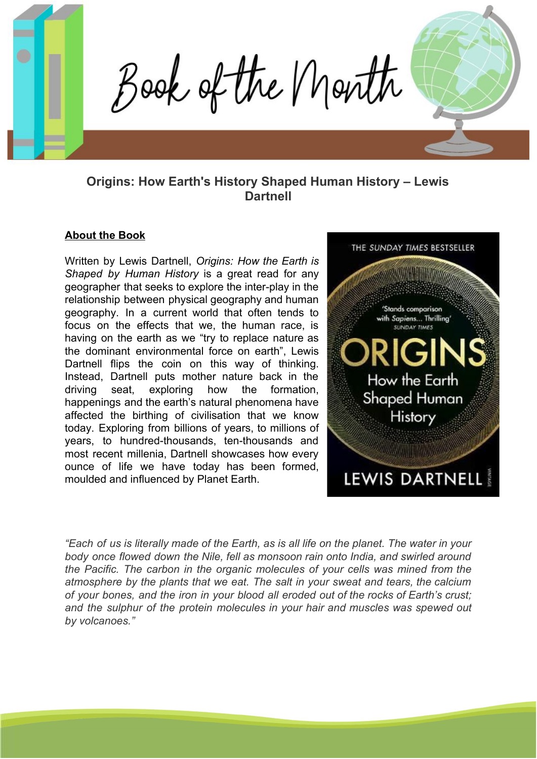Book of the Month

# **Origins: How Earth's History Shaped Human History – Lewis Dartnell**

### **About the Book**

Written by Lewis Dartnell, *Origins: How the Earth is Shaped by Human History* is a great read for any geographer that seeks to explore the inter-play in the relationship between physical geography and human geography. In a current world that often tends to focus on the effects that we, the human race, is having on the earth as we "try to replace nature as the dominant environmental force on earth", Lewis Dartnell flips the coin on this way of thinking. Instead, Dartnell puts mother nature back in the driving seat, exploring how the formation, happenings and the earth's natural phenomena have affected the birthing of civilisation that we know today. Exploring from billions of years, to millions of years, to hundred-thousands, ten-thousands and most recent millenia, Dartnell showcases how every ounce of life we have today has been formed, moulded and influenced by Planet Earth.



"Each of us is literally made of the Earth, as is all life on the planet. The water in your *body once flowed down the Nile, fell as monsoon rain onto India, and swirled around the Pacific. The carbon in the organic molecules of your cells was mined from the atmosphere by the plants that we eat. The salt in your sweat and tears, the calcium of your bones, and the iron in your blood all eroded out of the rocks of Earth's crust; and the sulphur of the protein molecules in your hair and muscles was spewed out by volcanoes."*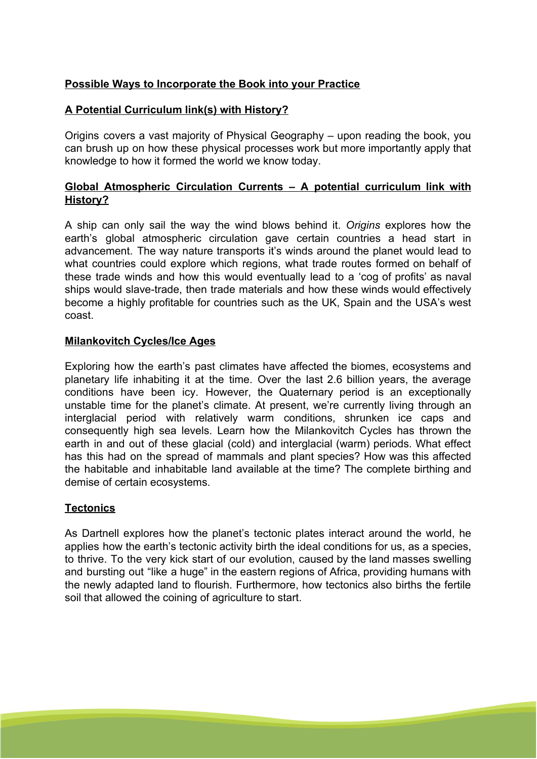## **Possible Ways to Incorporate the Book into your Practice**

## **A Potential Curriculum link(s) with History?**

Origins covers a vast majority of Physical Geography – upon reading the book, you can brush up on how these physical processes work but more importantly apply that knowledge to how it formed the world we know today.

## **Global Atmospheric Circulation Currents – A potential curriculum link with History?**

A ship can only sail the way the wind blows behind it. *Origins* explores how the earth's global atmospheric circulation gave certain countries a head start in advancement. The way nature transports it's winds around the planet would lead to what countries could explore which regions, what trade routes formed on behalf of these trade winds and how this would eventually lead to a 'cog of profits' as naval ships would slave-trade, then trade materials and how these winds would effectively become a highly profitable for countries such as the UK, Spain and the USA's west coast.

### **Milankovitch Cycles/Ice Ages**

Exploring how the earth's past climates have affected the biomes, ecosystems and planetary life inhabiting it at the time. Over the last 2.6 billion years, the average conditions have been icy. However, the Quaternary period is an exceptionally unstable time for the planet's climate. At present, we're currently living through an interglacial period with relatively warm conditions, shrunken ice caps and consequently high sea levels. Learn how the Milankovitch Cycles has thrown the earth in and out of these glacial (cold) and interglacial (warm) periods. What effect has this had on the spread of mammals and plant species? How was this affected the habitable and inhabitable land available at the time? The complete birthing and demise of certain ecosystems.

### **Tectonics**

As Dartnell explores how the planet's tectonic plates interact around the world, he applies how the earth's tectonic activity birth the ideal conditions for us, as a species, to thrive. To the very kick start of our evolution, caused by the land masses swelling and bursting out "like a huge" in the eastern regions of Africa, providing humans with the newly adapted land to flourish. Furthermore, how tectonics also births the fertile soil that allowed the coining of agriculture to start.